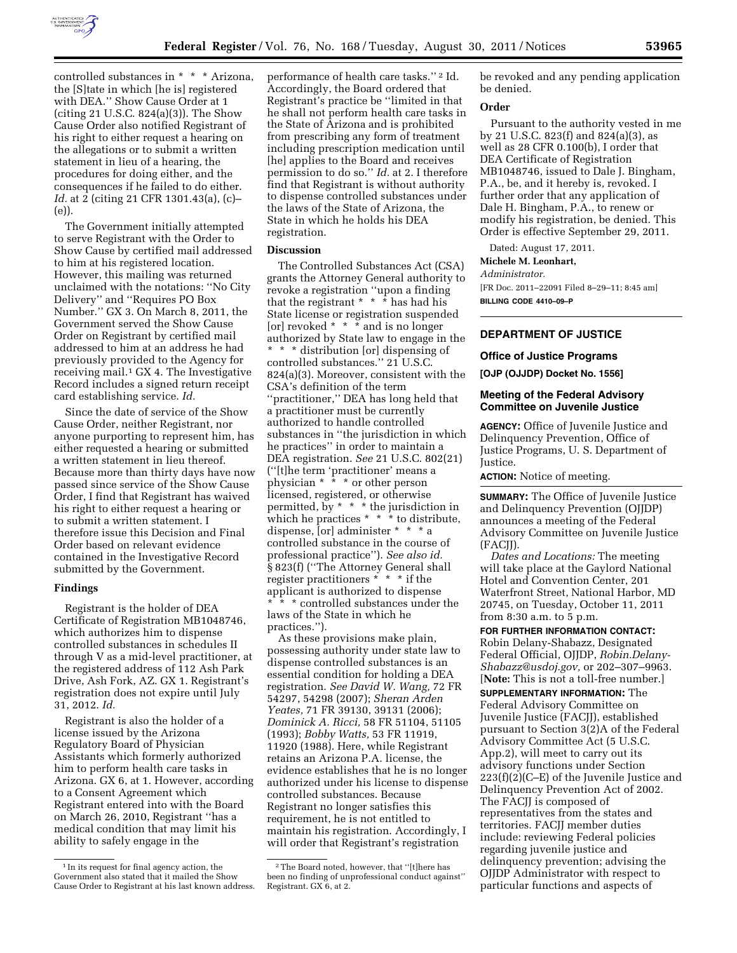

controlled substances in \* \* \* Arizona, the [S]tate in which [he is] registered with DEA.'' Show Cause Order at 1 (citing 21 U.S.C. 824(a)(3)). The Show Cause Order also notified Registrant of his right to either request a hearing on the allegations or to submit a written statement in lieu of a hearing, the procedures for doing either, and the consequences if he failed to do either. *Id.* at 2 (citing 21 CFR 1301.43(a), (c)– (e)).

The Government initially attempted to serve Registrant with the Order to Show Cause by certified mail addressed to him at his registered location. However, this mailing was returned unclaimed with the notations: ''No City Delivery'' and ''Requires PO Box Number.'' GX 3. On March 8, 2011, the Government served the Show Cause Order on Registrant by certified mail addressed to him at an address he had previously provided to the Agency for receiving mail.1 GX 4. The Investigative Record includes a signed return receipt card establishing service. *Id.* 

Since the date of service of the Show Cause Order, neither Registrant, nor anyone purporting to represent him, has either requested a hearing or submitted a written statement in lieu thereof. Because more than thirty days have now passed since service of the Show Cause Order, I find that Registrant has waived his right to either request a hearing or to submit a written statement. I therefore issue this Decision and Final Order based on relevant evidence contained in the Investigative Record submitted by the Government.

## **Findings**

Registrant is the holder of DEA Certificate of Registration MB1048746, which authorizes him to dispense controlled substances in schedules II through V as a mid-level practitioner, at the registered address of 112 Ash Park Drive, Ash Fork, AZ. GX 1. Registrant's registration does not expire until July 31, 2012. *Id.* 

Registrant is also the holder of a license issued by the Arizona Regulatory Board of Physician Assistants which formerly authorized him to perform health care tasks in Arizona. GX 6, at 1. However, according to a Consent Agreement which Registrant entered into with the Board on March 26, 2010, Registrant ''has a medical condition that may limit his ability to safely engage in the

performance of health care tasks."<sup>2</sup> Id. Accordingly, the Board ordered that Registrant's practice be ''limited in that he shall not perform health care tasks in the State of Arizona and is prohibited from prescribing any form of treatment including prescription medication until [he] applies to the Board and receives permission to do so.'' *Id.* at 2. I therefore find that Registrant is without authority to dispense controlled substances under the laws of the State of Arizona, the State in which he holds his DEA registration.

# **Discussion**

The Controlled Substances Act (CSA) grants the Attorney General authority to revoke a registration ''upon a finding that the registrant \* \* \* has had his State license or registration suspended [or] revoked  $* * *$  and is no longer authorized by State law to engage in the \* \* \* distribution [or] dispensing of controlled substances.'' 21 U.S.C. 824(a)(3). Moreover, consistent with the CSA's definition of the term ''practitioner,'' DEA has long held that a practitioner must be currently authorized to handle controlled substances in ''the jurisdiction in which he practices'' in order to maintain a DEA registration. *See* 21 U.S.C. 802(21) (''[t]he term 'practitioner' means a physician \* \* \* or other person licensed, registered, or otherwise permitted, by  $* * *$  the jurisdiction in which he practices  $* * *$  to distribute, dispense, [or] administer \* \* \* a controlled substance in the course of professional practice''). *See also id.*  § 823(f) (''The Attorney General shall register practitioners  $* * * if$  the applicant is authorized to dispense \* \* \* controlled substances under the laws of the State in which he practices.'').

As these provisions make plain, possessing authority under state law to dispense controlled substances is an essential condition for holding a DEA registration. *See David W. Wang,* 72 FR 54297, 54298 (2007); *Sheran Arden Yeates,* 71 FR 39130, 39131 (2006); *Dominick A. Ricci,* 58 FR 51104, 51105 (1993); *Bobby Watts,* 53 FR 11919, 11920 (1988). Here, while Registrant retains an Arizona P.A. license, the evidence establishes that he is no longer authorized under his license to dispense controlled substances. Because Registrant no longer satisfies this requirement, he is not entitled to maintain his registration. Accordingly, I will order that Registrant's registration

be revoked and any pending application be denied.

# **Order**

Pursuant to the authority vested in me by 21 U.S.C. 823(f) and 824(a)(3), as well as 28 CFR 0.100(b), I order that DEA Certificate of Registration MB1048746, issued to Dale J. Bingham, P.A., be, and it hereby is, revoked. I further order that any application of Dale H. Bingham, P.A., to renew or modify his registration, be denied. This Order is effective September 29, 2011.

Dated: August 17, 2011.

# **Michele M. Leonhart,**

*Administrator.* 

[FR Doc. 2011–22091 Filed 8–29–11; 8:45 am] **BILLING CODE 4410–09–P** 

# **DEPARTMENT OF JUSTICE**

## **Office of Justice Programs**

**[OJP (OJJDP) Docket No. 1556]** 

## **Meeting of the Federal Advisory Committee on Juvenile Justice**

**AGENCY:** Office of Juvenile Justice and Delinquency Prevention, Office of Justice Programs, U. S. Department of Justice.

**ACTION:** Notice of meeting.

**SUMMARY:** The Office of Juvenile Justice and Delinquency Prevention (OJJDP) announces a meeting of the Federal Advisory Committee on Juvenile Justice (FACJJ).

*Dates and Locations:* The meeting will take place at the Gaylord National Hotel and Convention Center, 201 Waterfront Street, National Harbor, MD 20745, on Tuesday, October 11, 2011 from 8:30 a.m. to 5 p.m.

**FOR FURTHER INFORMATION CONTACT:**  Robin Delany-Shabazz, Designated Federal Official, OJJDP, *[Robin.Delany-](mailto:Robin.Delany-Shabazz@usdoj.gov)[Shabazz@usdoj.gov,](mailto:Robin.Delany-Shabazz@usdoj.gov)* or 202–307–9963. [**Note:** This is not a toll-free number.]

**SUPPLEMENTARY INFORMATION:** The Federal Advisory Committee on Juvenile Justice (FACJJ), established pursuant to Section 3(2)A of the Federal Advisory Committee Act (5 U.S.C. App.2), will meet to carry out its advisory functions under Section 223(f)(2)(C–E) of the Juvenile Justice and Delinquency Prevention Act of 2002. The FACJJ is composed of representatives from the states and territories. FACJJ member duties include: reviewing Federal policies regarding juvenile justice and delinquency prevention; advising the OJJDP Administrator with respect to particular functions and aspects of

<sup>1</sup> In its request for final agency action, the Government also stated that it mailed the Show Cause Order to Registrant at his last known address.

<sup>2</sup>The Board noted, however, that ''[t]here has been no finding of unprofessional conduct against'' Registrant. GX 6, at 2.